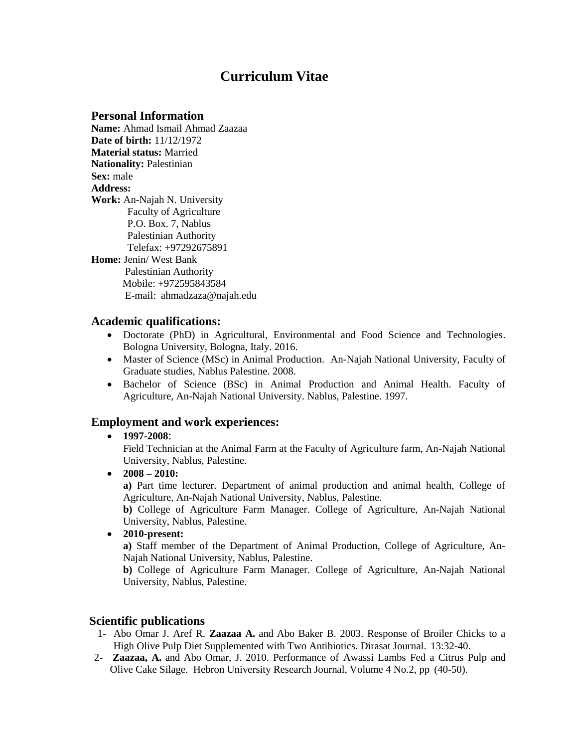# **Curriculum Vitae**

## **Personal Information**

**Name:** Ahmad Ismail Ahmad Zaazaa **Date of birth:** 11/12/1972 **Material status:** Married **Nationality:** Palestinian **Sex:** male **Address: Work:** An-Najah N. University Faculty of Agriculture P.O. Box. 7, Nablus Palestinian Authority Telefax: +97292675891 **Home:** Jenin/ West Bank Palestinian Authority Mobile: +972595843584 E-mail: [ahmadzaza@najah.edu](mailto:ahmadzaza@najah.edu)

## **Academic qualifications:**

- Doctorate (PhD) in Agricultural, Environmental and Food Science and Technologies. Bologna University, Bologna, Italy. 2016.
- Master of Science (MSc) in Animal Production. An-Najah National University, Faculty of Graduate studies, Nablus Palestine. 2008.
- Bachelor of Science (BSc) in Animal Production and Animal Health. Faculty of Agriculture, An-Najah National University. Nablus, Palestine. 1997.

# **Employment and work experiences:**

## **1997-2008**:

Field Technician at the Animal Farm at the Faculty of Agriculture farm, An-Najah National University, Nablus, Palestine.

 $\bullet$  2008 – 2010:

**a)** Part time lecturer. Department of animal production and animal health, College of Agriculture, An-Najah National University, Nablus, Palestine.

**b)** College of Agriculture Farm Manager. College of Agriculture, An-Najah National University, Nablus, Palestine.

**2010-present:** 

**a)** Staff member of the Department of Animal Production, College of Agriculture, An-Najah National University, Nablus, Palestine.

**b)** College of Agriculture Farm Manager. College of Agriculture, An-Najah National University, Nablus, Palestine.

## **Scientific publications**

- 1- Abo Omar J. Aref R. **Zaazaa A.** and Abo Baker B. 2003. Response of Broiler Chicks to a High Olive Pulp Diet Supplemented with Two Antibiotics. Dirasat Journal. 13:32-40.
- 2- **Zaazaa, A.** and Abo Omar, J. 2010. Performance of Awassi Lambs Fed a Citrus Pulp and Olive Cake Silage. Hebron University Research Journal, Volume 4 No.2, pp (40-50).